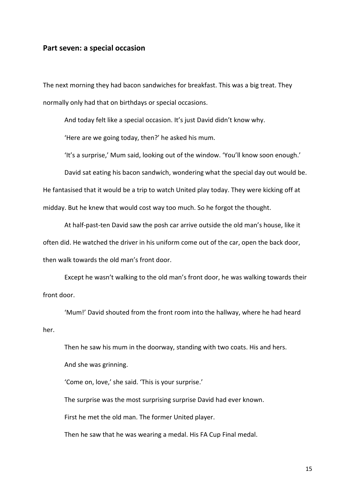## Part seven: a special occasion

The next morning they had bacon sandwiches for breakfast. This was a big treat. They normally only had that on birthdays or special occasions.

And today felt like a special occasion. It's just David didn't know why.

'Here are we going today, then?' he asked his mum.

'It's a surprise,' Mum said, looking out of the window. 'You'll know soon enough.'

David sat eating his bacon sandwich, wondering what the special day out would be.

He fantasised that it would be a trip to watch United play today. They were kicking off at midday. But he knew that would cost way too much. So he forgot the thought.

At half-past-ten David saw the posh car arrive outside the old man's house, like it often did. He watched the driver in his uniform come out of the car, open the back door, then walk towards the old man's front door.

 Except he wasn't walking to the old man's front door, he was walking towards their front door.

 'Mum!' David shouted from the front room into the hallway, where he had heard her.

 Then he saw his mum in the doorway, standing with two coats. His and hers. And she was grinning.

'Come on, love,' she said. 'This is your surprise.'

The surprise was the most surprising surprise David had ever known.

First he met the old man. The former United player.

Then he saw that he was wearing a medal. His FA Cup Final medal.